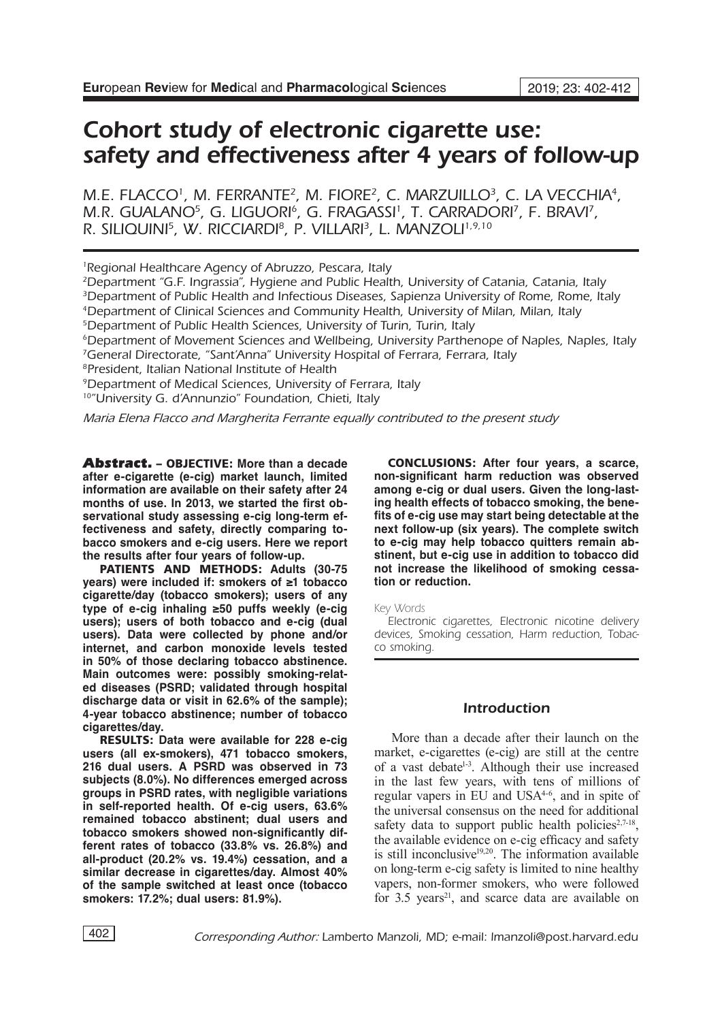# Cohort study of electronic cigarette use: safety and effectiveness after 4 years of follow-up

M.E. FLACCO<sup>1</sup>, M. FERRANTE<sup>2</sup>, M. FIORE<sup>2</sup>, C. MARZUILLO<sup>3</sup>, C. LA VECCHIA<sup>4</sup>, M.R. GUALANO<sup>5</sup>, G. LIGUORI<sup>6</sup>, G. FRAGASSI<sup>1</sup>, T. CARRADORI<sup>7</sup>, F. BRAVI<sup>7</sup>, R. SILIQUINI<sup>5</sup>, W. RICCIARDI<sup>8</sup>, P. VILLARI<sup>3</sup>, L. MANZOLI<sup>1,9,10</sup>

<sup>1</sup>Regional Healthcare Agency of Abruzzo, Pescara, Italy

2Department "G.F. Ingrassia", Hygiene and Public Health, University of Catania, Catania, Italy <sup>3</sup>Department of Public Health and Infectious Diseases, Sapienza University of Rome, Rome, Italy

<sup>4</sup>Department of Clinical Sciences and Community Health, University of Milan, Milan, Italy

8President, Italian National Institute of Health

9Department of Medical Sciences, University of Ferrara, Italy

10"University G. d'Annunzio" Foundation, Chieti, Italy

*Maria Elena Flacco and Margherita Ferrante equally contributed to the present study*

Abstract. – OBJECTIVE: **More than a decade after e-cigarette (e-cig) market launch, limited information are available on their safety after 24 months of use. In 2013, we started the first observational study assessing e-cig long-term effectiveness and safety, directly comparing tobacco smokers and e-cig users. Here we report the results after four years of follow-up.**

PATIENTS AND METHODS: **Adults (30-75 years) were included if: smokers of ≥1 tobacco cigarette/day (tobacco smokers); users of any type of e-cig inhaling ≥50 puffs weekly (e-cig users); users of both tobacco and e-cig (dual users). Data were collected by phone and/or internet, and carbon monoxide levels tested in 50% of those declaring tobacco abstinence. Main outcomes were: possibly smoking-related diseases (PSRD; validated through hospital discharge data or visit in 62.6% of the sample); 4-year tobacco abstinence; number of tobacco cigarettes/day.**

RESULTS: **Data were available for 228 e-cig users (all ex-smokers), 471 tobacco smokers, 216 dual users. A PSRD was observed in 73 subjects (8.0%). No differences emerged across groups in PSRD rates, with negligible variations in self-reported health. Of e-cig users, 63.6% remained tobacco abstinent; dual users and tobacco smokers showed non-significantly different rates of tobacco (33.8% vs. 26.8%) and all-product (20.2% vs. 19.4%) cessation, and a similar decrease in cigarettes/day. Almost 40% of the sample switched at least once (tobacco smokers: 17.2%; dual users: 81.9%).**

CONCLUSIONS: **After four years, a scarce, non-significant harm reduction was observed among e-cig or dual users. Given the long-lasting health effects of tobacco smoking, the benefits of e-cig use may start being detectable at the next follow-up (six years). The complete switch to e-cig may help tobacco quitters remain abstinent, but e-cig use in addition to tobacco did not increase the likelihood of smoking cessation or reduction.** 

Key Words

Electronic cigarettes, Electronic nicotine delivery devices, Smoking cessation, Harm reduction, Tobacco smoking.

# Introduction

More than a decade after their launch on the market, e-cigarettes (e-cig) are still at the centre of a vast debate<sup>1-3</sup>. Although their use increased in the last few years, with tens of millions of regular vapers in EU and USA4-6, and in spite of the universal consensus on the need for additional safety data to support public health policies<sup>2,7-18</sup>, the available evidence on e-cig efficacy and safety is still inconclusive $19,20$ . The information available on long-term e-cig safety is limited to nine healthy vapers, non-former smokers, who were followed for  $3.5$  years<sup>21</sup>, and scarce data are available on

<sup>&</sup>lt;sup>5</sup>Department of Public Health Sciences, University of Turin, Turin, Italy

<sup>6</sup>Department of Movement Sciences and Wellbeing, University Parthenope of Naples, Naples, Italy <sup>7</sup>General Directorate, "Sant'Anna" University Hospital of Ferrara, Ferrara, Italy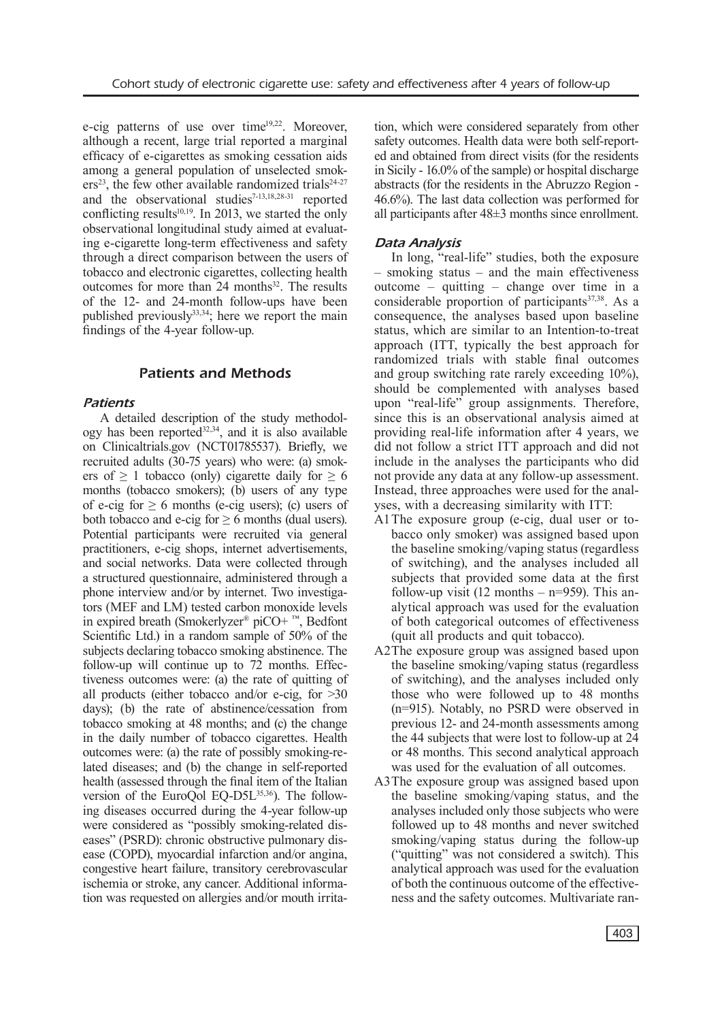e-cig patterns of use over time<sup>19,22</sup>. Moreover, although a recent, large trial reported a marginal efficacy of e-cigarettes as smoking cessation aids among a general population of unselected smok $ers<sup>23</sup>$ , the few other available randomized trials<sup>24-27</sup> and the observational studies<sup>7-13,18,28-31</sup> reported conflicting results $10,19$ . In 2013, we started the only observational longitudinal study aimed at evaluating e-cigarette long-term effectiveness and safety through a direct comparison between the users of tobacco and electronic cigarettes, collecting health outcomes for more than 24 months<sup>32</sup>. The results of the 12- and 24-month follow-ups have been published previously $33,34$ ; here we report the main findings of the 4-year follow-up.

# Patients and Methods

## *Patients*

A detailed description of the study methodology has been reported $32,34$ , and it is also available on Clinicaltrials.gov (NCT01785537). Briefly, we recruited adults (30-75 years) who were: (a) smokers of  $\geq 1$  tobacco (only) cigarette daily for  $\geq 6$ months (tobacco smokers); (b) users of any type of e-cig for  $\geq 6$  months (e-cig users); (c) users of both tobacco and e-cig for  $\geq 6$  months (dual users). Potential participants were recruited via general practitioners, e-cig shops, internet advertisements, and social networks. Data were collected through a structured questionnaire, administered through a phone interview and/or by internet. Two investigators (MEF and LM) tested carbon monoxide levels in expired breath (Smokerlyzer® piCO+ ™, Bedfont Scientific Ltd.) in a random sample of 50% of the subjects declaring tobacco smoking abstinence. The follow-up will continue up to 72 months. Effectiveness outcomes were: (a) the rate of quitting of all products (either tobacco and/or e-cig, for >30 days); (b) the rate of abstinence/cessation from tobacco smoking at 48 months; and (c) the change in the daily number of tobacco cigarettes. Health outcomes were: (a) the rate of possibly smoking-related diseases; and (b) the change in self-reported health (assessed through the final item of the Italian version of the EuroQol EQ-D5L<sup>35,36</sup>). The following diseases occurred during the 4-year follow-up were considered as "possibly smoking-related diseases" (PSRD): chronic obstructive pulmonary disease (COPD), myocardial infarction and/or angina, congestive heart failure, transitory cerebrovascular ischemia or stroke, any cancer. Additional information was requested on allergies and/or mouth irritation, which were considered separately from other safety outcomes. Health data were both self-reported and obtained from direct visits (for the residents in Sicily - 16.0% of the sample) or hospital discharge abstracts (for the residents in the Abruzzo Region - 46.6%). The last data collection was performed for all participants after 48±3 months since enrollment.

# *Data Analysis*

In long, "real-life" studies, both the exposure – smoking status – and the main effectiveness outcome – quitting – change over time in a considerable proportion of participants<sup>37,38</sup>. As a consequence, the analyses based upon baseline status, which are similar to an Intention-to-treat approach (ITT, typically the best approach for randomized trials with stable final outcomes and group switching rate rarely exceeding 10%), should be complemented with analyses based upon "real-life" group assignments. Therefore, since this is an observational analysis aimed at providing real-life information after 4 years, we did not follow a strict ITT approach and did not include in the analyses the participants who did not provide any data at any follow-up assessment. Instead, three approaches were used for the analyses, with a decreasing similarity with ITT:

- A1The exposure group (e-cig, dual user or tobacco only smoker) was assigned based upon the baseline smoking/vaping status (regardless of switching), and the analyses included all subjects that provided some data at the first follow-up visit  $(12 \text{ months} - \text{n} = 959)$ . This analytical approach was used for the evaluation of both categorical outcomes of effectiveness (quit all products and quit tobacco).
- A2The exposure group was assigned based upon the baseline smoking/vaping status (regardless of switching), and the analyses included only those who were followed up to 48 months (n=915). Notably, no PSRD were observed in previous 12- and 24-month assessments among the 44 subjects that were lost to follow-up at 24 or 48 months. This second analytical approach was used for the evaluation of all outcomes.
- A3The exposure group was assigned based upon the baseline smoking/vaping status, and the analyses included only those subjects who were followed up to 48 months and never switched smoking/vaping status during the follow-up ("quitting" was not considered a switch). This analytical approach was used for the evaluation of both the continuous outcome of the effectiveness and the safety outcomes. Multivariate ran-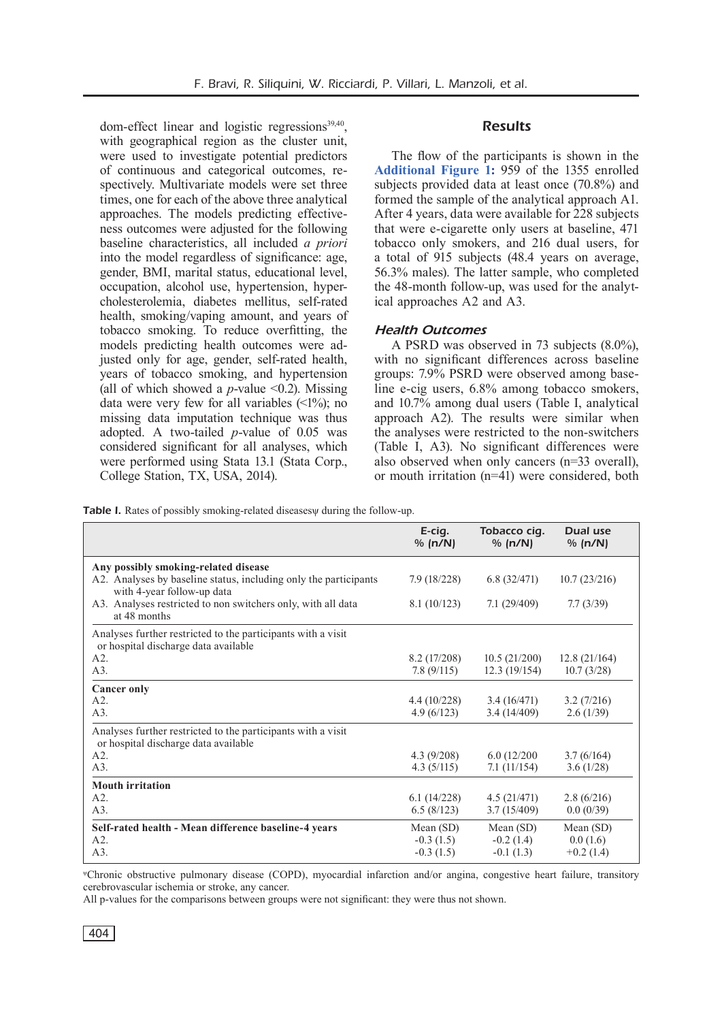dom-effect linear and logistic regressions $39,40$ , with geographical region as the cluster unit, were used to investigate potential predictors of continuous and categorical outcomes, respectively. Multivariate models were set three times, one for each of the above three analytical approaches. The models predicting effectiveness outcomes were adjusted for the following baseline characteristics, all included *a priori* into the model regardless of significance: age, gender, BMI, marital status, educational level, occupation, alcohol use, hypertension, hypercholesterolemia, diabetes mellitus, self-rated health, smoking/vaping amount, and years of tobacco smoking. To reduce overfitting, the models predicting health outcomes were adjusted only for age, gender, self-rated health, years of tobacco smoking, and hypertension (all of which showed a  $p$ -value  $\leq 0.2$ ). Missing data were very few for all variables  $(\leq 1\%)$ ; no missing data imputation technique was thus adopted. A two-tailed *p*-value of 0.05 was considered significant for all analyses, which were performed using Stata 13.1 (Stata Corp., College Station, TX, USA, 2014).

### **Results**

The flow of the participants is shown in the **[Additional Figure 1:](https://www.europeanreview.org/wp/wp-content/uploads/Additional_Figure_1.pdf)** 959 of the 1355 enrolled subjects provided data at least once (70.8%) and formed the sample of the analytical approach A1. After 4 years, data were available for 228 subjects that were e-cigarette only users at baseline, 471 tobacco only smokers, and 216 dual users, for a total of 915 subjects (48.4 years on average, 56.3% males). The latter sample, who completed the 48-month follow-up, was used for the analytical approaches A2 and A3.

#### *Health Outcomes*

A PSRD was observed in 73 subjects (8.0%), with no significant differences across baseline groups: 7.9% PSRD were observed among baseline e-cig users, 6.8% among tobacco smokers, and 10.7% among dual users (Table I, analytical approach A2). The results were similar when the analyses were restricted to the non-switchers (Table I, A3). No significant differences were also observed when only cancers (n=33 overall), or mouth irritation (n=41) were considered, both

Table I. Rates of possibly smoking-related diseasesy during the follow-up.

|                                                                                                      | E-cig.<br>% (n/N) | Tobacco cig.<br>% (n/N) | Dual use<br>% (n/N) |
|------------------------------------------------------------------------------------------------------|-------------------|-------------------------|---------------------|
| Any possibly smoking-related disease                                                                 |                   |                         |                     |
| A2. Analyses by baseline status, including only the participants<br>with 4-year follow-up data       | 7.9(18/228)       | 6.8(32/471)             | 10.7(23/216)        |
| A3. Analyses restricted to non switchers only, with all data                                         | 8.1(10/123)       | 7.1(29/409)             | 7.7(3/39)           |
| at 48 months                                                                                         |                   |                         |                     |
| Analyses further restricted to the participants with a visit<br>or hospital discharge data available |                   |                         |                     |
| A2.                                                                                                  | 8.2(17/208)       | 10.5(21/200)            | 12.8(21/164)        |
| A3.                                                                                                  | 7.8(9/115)        | 12.3(19/154)            | 10.7(3/28)          |
| <b>Cancer only</b>                                                                                   |                   |                         |                     |
| A2                                                                                                   | 4.4(10/228)       | 3.4(16/471)             | 3.2(7/216)          |
| A3.                                                                                                  | 4.9(6/123)        | 3.4(14/409)             | 2.6(1/39)           |
| Analyses further restricted to the participants with a visit                                         |                   |                         |                     |
| or hospital discharge data available                                                                 |                   |                         |                     |
| A2                                                                                                   | 4.3(9/208)        | 6.0(12/200)             | 3.7(6/164)          |
| A3.                                                                                                  | 4.3 $(5/115)$     | 7.1(11/154)             | 3.6(1/28)           |
| <b>Mouth irritation</b>                                                                              |                   |                         |                     |
| A2.                                                                                                  | 6.1(14/228)       | 4.5(21/471)             | 2.8(6/216)          |
| A3.                                                                                                  | 6.5(8/123)        | 3.7(15/409)             | 0.0(0/39)           |
| Self-rated health - Mean difference baseline-4 years                                                 | Mean (SD)         | Mean $(SD)$             | Mean $(SD)$         |
| A2.                                                                                                  | $-0.3(1.5)$       | $-0.2(1.4)$             | 0.0(1.6)            |
| A3.                                                                                                  | $-0.3(1.5)$       | $-0.1(1.3)$             | $+0.2(1.4)$         |

<sup>ψ</sup>Chronic obstructive pulmonary disease (COPD), myocardial infarction and/or angina, congestive heart failure, transitory cerebrovascular ischemia or stroke, any cancer.

All p-values for the comparisons between groups were not significant: they were thus not shown.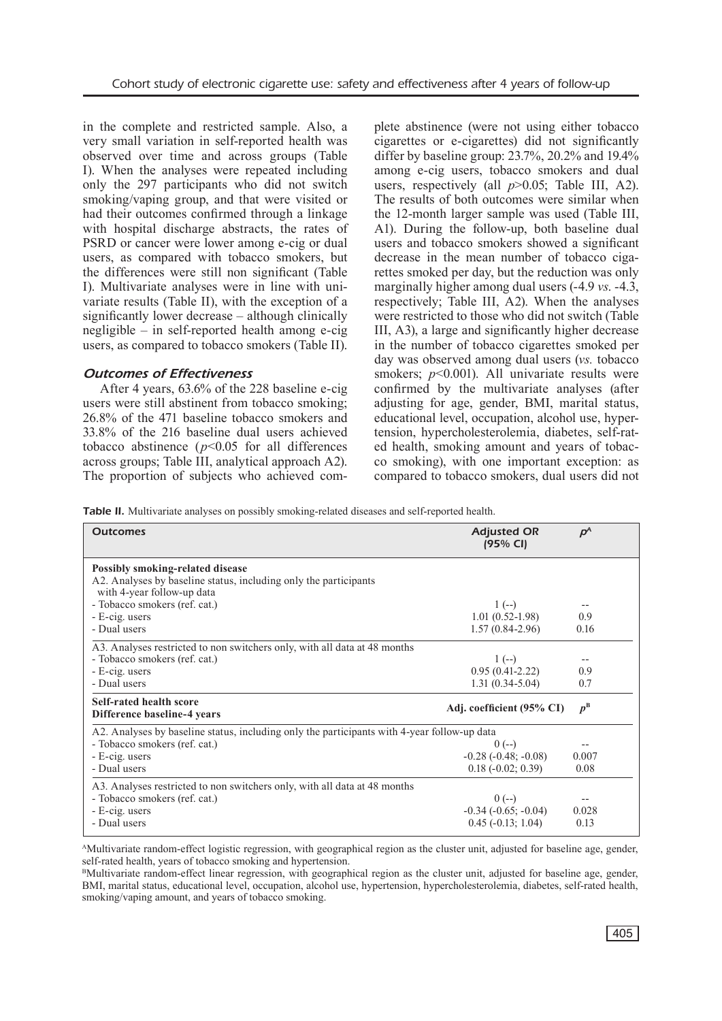in the complete and restricted sample. Also, a very small variation in self-reported health was observed over time and across groups (Table I). When the analyses were repeated including only the 297 participants who did not switch smoking/vaping group, and that were visited or had their outcomes confirmed through a linkage with hospital discharge abstracts, the rates of PSRD or cancer were lower among e-cig or dual users, as compared with tobacco smokers, but the differences were still non significant (Table I). Multivariate analyses were in line with univariate results (Table II), with the exception of a significantly lower decrease – although clinically negligible – in self-reported health among e-cig users, as compared to tobacco smokers (Table II).

## *Outcomes of Effectiveness*

After 4 years, 63.6% of the 228 baseline e-cig users were still abstinent from tobacco smoking; 26.8% of the 471 baseline tobacco smokers and 33.8% of the 216 baseline dual users achieved tobacco abstinence  $(p<0.05$  for all differences across groups; Table III, analytical approach A2). The proportion of subjects who achieved complete abstinence (were not using either tobacco cigarettes or e-cigarettes) did not significantly differ by baseline group: 23.7%, 20.2% and 19.4% among e-cig users, tobacco smokers and dual users, respectively (all  $p > 0.05$ ; Table III, A2). The results of both outcomes were similar when the 12-month larger sample was used (Table III, A1). During the follow-up, both baseline dual users and tobacco smokers showed a significant decrease in the mean number of tobacco cigarettes smoked per day, but the reduction was only marginally higher among dual users (-4.9 *vs*. -4.3, respectively; Table III, A2). When the analyses were restricted to those who did not switch (Table III, A3), a large and significantly higher decrease in the number of tobacco cigarettes smoked per day was observed among dual users (*vs.* tobacco smokers; *p*<0.001). All univariate results were confirmed by the multivariate analyses (after adjusting for age, gender, BMI, marital status, educational level, occupation, alcohol use, hypertension, hypercholesterolemia, diabetes, self-rated health, smoking amount and years of tobacco smoking), with one important exception: as compared to tobacco smokers, dual users did not

Table II. Multivariate analyses on possibly smoking-related diseases and self-reported health.

| <b>Outcomes</b>                                                                                                                              | <b>Adjusted OR</b><br>(95% CI)                                  | $\boldsymbol{p}^{\text{A}}$ |  |  |
|----------------------------------------------------------------------------------------------------------------------------------------------|-----------------------------------------------------------------|-----------------------------|--|--|
| <b>Possibly smoking-related disease</b><br>A2. Analyses by baseline status, including only the participants<br>with 4-year follow-up data    |                                                                 |                             |  |  |
| - Tobacco smokers (ref. cat.)<br>- E-cig. users<br>- Dual users                                                                              | $1(-)$<br>$1.01(0.52-1.98)$<br>$1.57(0.84 - 2.96)$              | 0.9<br>0.16                 |  |  |
| A3. Analyses restricted to non switchers only, with all data at 48 months<br>- Tobacco smokers (ref. cat.)<br>- E-cig. users<br>- Dual users | $1(-)$<br>$0.95(0.41-2.22)$<br>$1.31(0.34-5.04)$                | 0.9<br>0.7                  |  |  |
| <b>Self-rated health score</b><br>Difference baseline-4 years                                                                                | Adj. coefficient (95% CI)                                       | $p^{\rm B}$                 |  |  |
| A2. Analyses by baseline status, including only the participants with 4-year follow-up data                                                  |                                                                 |                             |  |  |
| - Tobacco smokers (ref. cat.)<br>- E-cig. users<br>- Dual users                                                                              | $0 (-)$<br>$-0.28(-0.48; -0.08)$<br>$0.18(-0.02; 0.39)$         | 0.007<br>0.08               |  |  |
| A3. Analyses restricted to non switchers only, with all data at 48 months<br>- Tobacco smokers (ref. cat.)<br>- E-cig. users<br>- Dual users | $0 (-)$<br>$-0.34$ $(-0.65; -0.04)$<br>$0.45$ ( $-0.13$ ; 1.04) | 0.028<br>0.13               |  |  |

AMultivariate random-effect logistic regression, with geographical region as the cluster unit, adjusted for baseline age, gender, self-rated health, years of tobacco smoking and hypertension.

<sup>B</sup>Multivariate random-effect linear regression, with geographical region as the cluster unit, adjusted for baseline age, gender, BMI, marital status, educational level, occupation, alcohol use, hypertension, hypercholesterolemia, diabetes, self-rated health, smoking/vaping amount, and years of tobacco smoking.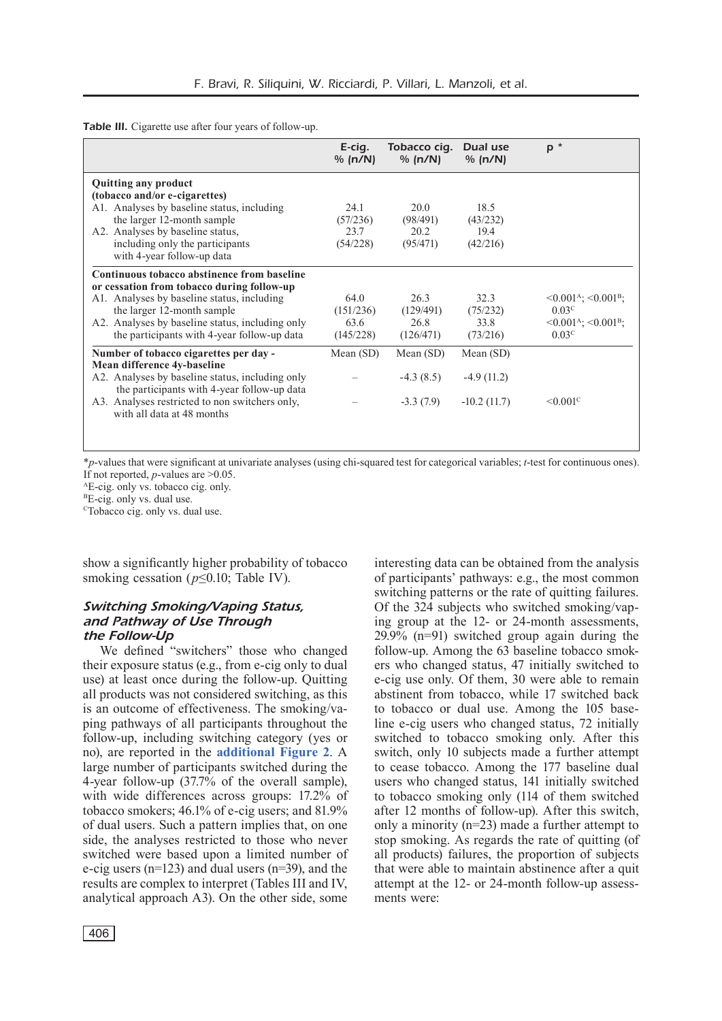Table III. Cigarette use after four years of follow-up.

|                                                                                                                                                                                                                                                                         | E-cig.<br>% (n/N)                      | Tobacco cig.<br>% (n/N)                   | Dual use<br>% (n/N)                        | $P^*$                                                                                                                                    |
|-------------------------------------------------------------------------------------------------------------------------------------------------------------------------------------------------------------------------------------------------------------------------|----------------------------------------|-------------------------------------------|--------------------------------------------|------------------------------------------------------------------------------------------------------------------------------------------|
| <b>Quitting any product</b><br>(tobacco and/or e-cigarettes)<br>A1. Analyses by baseline status, including<br>the larger 12-month sample<br>A2. Analyses by baseline status.<br>including only the participants<br>with 4-year follow-up data                           | 24.1<br>(57/236)<br>23.7<br>(54/228)   | 20.0<br>(98/491)<br>20.2<br>(95/471)      | 18.5<br>(43/232)<br>19.4<br>(42/216)       |                                                                                                                                          |
| Continuous tobacco abstinence from baseline<br>or cessation from tobacco during follow-up<br>A1. Analyses by baseline status, including<br>the larger 12-month sample<br>A2. Analyses by baseline status, including only<br>the participants with 4-year follow-up data | 64.0<br>(151/236)<br>63.6<br>(145/228) | 26.3<br>(129/491)<br>26.8<br>(126/471)    | 32.3<br>(75/232)<br>33.8<br>(73/216)       | $\leq 0.001^{\rm A}$ ; $\leq 0.001^{\rm B}$ ;<br>0.03 <sup>c</sup><br>$\leq 0.001^{\rm A}$ ; $\leq 0.001^{\rm B}$ ;<br>0.03 <sup>c</sup> |
| Number of tobacco cigarettes per day -<br>Mean difference 4y-baseline<br>A2. Analyses by baseline status, including only<br>the participants with 4-year follow-up data<br>A3. Analyses restricted to non switchers only,<br>with all data at 48 months                 | Mean $(SD)$                            | Mean $(SD)$<br>$-4.3(8.5)$<br>$-3.3(7.9)$ | Mean (SD)<br>$-4.9(11.2)$<br>$-10.2(11.7)$ | $\leq 0.001$ <sup>C</sup>                                                                                                                |

\**p*-values that were significant at univariate analyses (using chi-squared test for categorical variables; *t*-test for continuous ones). If not reported,  $p$ -values are  $>0.05$ .<br><sup>A</sup>E-cig. only vs. tobacco cig. only.

 ${}^{B}E$ -cig. only vs. dual use.

<sup>c</sup>Tobacco cig. only vs. dual use.

show a significantly higher probability of tobacco smoking cessation (*p*≤0.10; Table IV).

## *Switching Smoking/Vaping Status, and Pathway of Use Through the Follow-Up*

We defined "switchers" those who changed their exposure status (e.g., from e-cig only to dual use) at least once during the follow-up. Quitting all products was not considered switching, as this is an outcome of effectiveness. The smoking/vaping pathways of all participants throughout the follow-up, including switching category (yes or no), are reported in the **[additional Figure 2](https://www.europeanreview.org/wp/wp-content/uploads/Additional_Figure_2.pdf)**. A large number of participants switched during the 4-year follow-up (37.7% of the overall sample), with wide differences across groups: 17.2% of tobacco smokers; 46.1% of e-cig users; and 81.9% of dual users. Such a pattern implies that, on one side, the analyses restricted to those who never switched were based upon a limited number of e-cig users (n=123) and dual users (n=39), and the results are complex to interpret (Tables III and IV, analytical approach A3). On the other side, some of participants' pathways: e.g., the most common switching patterns or the rate of quitting failures. Of the 324 subjects who switched smoking/vaping group at the 12- or 24-month assessments, 29.9% (n=91) switched group again during the follow-up. Among the 63 baseline tobacco smokers who changed status, 47 initially switched to e-cig use only. Of them, 30 were able to remain abstinent from tobacco, while 17 switched back to tobacco or dual use. Among the 105 baseline e-cig users who changed status, 72 initially switched to tobacco smoking only. After this switch, only 10 subjects made a further attempt to cease tobacco. Among the 177 baseline dual users who changed status, 141 initially switched to tobacco smoking only (114 of them switched after 12 months of follow-up). After this switch, only a minority (n=23) made a further attempt to stop smoking. As regards the rate of quitting (of all products) failures, the proportion of subjects that were able to maintain abstinence after a quit attempt at the 12- or 24-month follow-up assessments were:

interesting data can be obtained from the analysis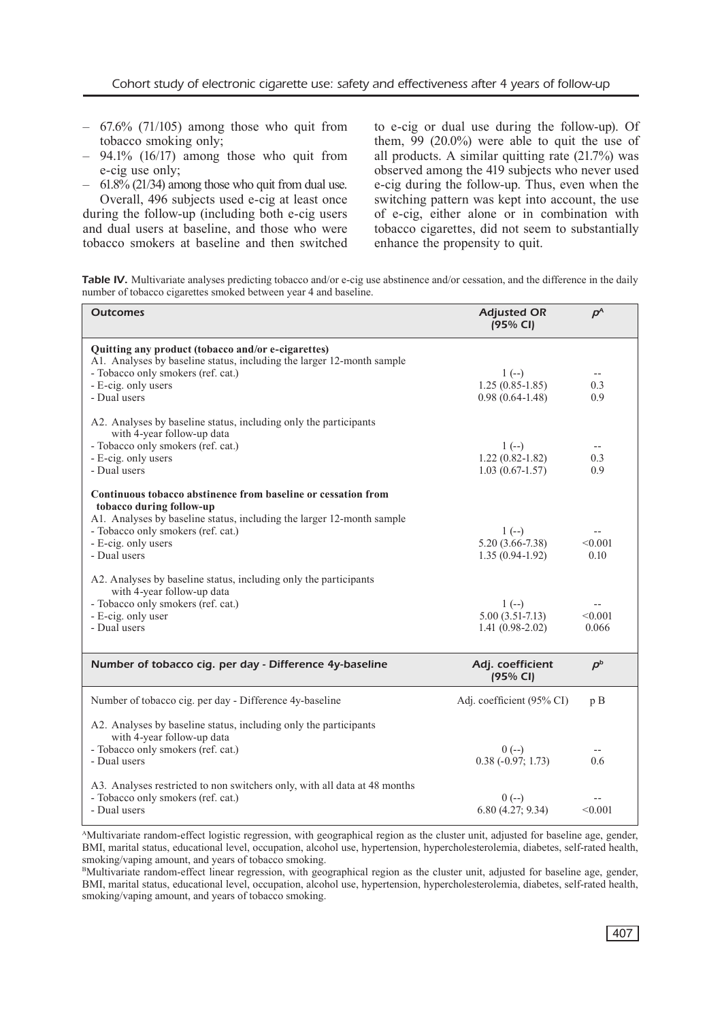- $-67.6\%$  (71/105) among those who quit from tobacco smoking only;
- $-$  94.1% (16/17) among those who quit from e-cig use only;
- 61.8% (21/34) among those who quit from dual use. Overall, 496 subjects used e-cig at least once

during the follow-up (including both e-cig users and dual users at baseline, and those who were tobacco smokers at baseline and then switched to e-cig or dual use during the follow-up). Of them,  $99$  (20.0%) were able to quit the use of all products. A similar quitting rate (21.7%) was observed among the 419 subjects who never used e-cig during the follow-up. Thus, even when the switching pattern was kept into account, the use of e-cig, either alone or in combination with tobacco cigarettes, did not seem to substantially enhance the propensity to quit.

Table IV. Multivariate analyses predicting tobacco and/or e-cig use abstinence and/or cessation, and the difference in the daily number of tobacco cigarettes smoked between year 4 and baseline.

| <b>Outcomes</b>                                                                                                                                                                                                                                                                                                                                                                         | <b>Adjusted OR</b><br>(95% CI)                               | $P^{A}$                     |
|-----------------------------------------------------------------------------------------------------------------------------------------------------------------------------------------------------------------------------------------------------------------------------------------------------------------------------------------------------------------------------------------|--------------------------------------------------------------|-----------------------------|
| Quitting any product (tobacco and/or e-cigarettes)<br>A1. Analyses by baseline status, including the larger 12-month sample<br>- Tobacco only smokers (ref. cat.)<br>- E-cig. only users<br>- Dual users                                                                                                                                                                                | $1(-)$<br>$1.25(0.85 - 1.85)$<br>$0.98(0.64 - 1.48)$         | --<br>0.3<br>0.9            |
| A2. Analyses by baseline status, including only the participants<br>with 4-year follow-up data<br>- Tobacco only smokers (ref. cat.)<br>- E-cig. only users<br>- Dual users                                                                                                                                                                                                             | $1(-)$<br>$1.22(0.82 - 1.82)$<br>$1.03(0.67-1.57)$           | $-\,-$<br>0.3<br>0.9        |
| Continuous tobacco abstinence from baseline or cessation from<br>tobacco during follow-up<br>A1. Analyses by baseline status, including the larger 12-month sample<br>- Tobacco only smokers (ref. cat.)<br>- E-cig. only users<br>- Dual users<br>A2. Analyses by baseline status, including only the participants<br>with 4-year follow-up data<br>- Tobacco only smokers (ref. cat.) | $1(-)$<br>$5.20(3.66 - 7.38)$<br>$1.35(0.94-1.92)$<br>$1(-)$ | < 0.001<br>0.10             |
| - E-cig. only user<br>- Dual users                                                                                                                                                                                                                                                                                                                                                      | $5.00(3.51-7.13)$<br>$1.41(0.98-2.02)$                       | < 0.001<br>0.066            |
| Number of tobacco cig. per day - Difference 4y-baseline                                                                                                                                                                                                                                                                                                                                 | Adj. coefficient<br>(95% CI)                                 | $\boldsymbol{p}^{\text{b}}$ |
| Number of tobacco cig. per day - Difference 4y-baseline                                                                                                                                                                                                                                                                                                                                 | Adj. coefficient (95% CI)                                    | p B                         |
| A2. Analyses by baseline status, including only the participants<br>with 4-year follow-up data<br>- Tobacco only smokers (ref. cat.)<br>- Dual users                                                                                                                                                                                                                                    | $0 (-)$<br>$0.38(-0.97; 1.73)$                               | $-$<br>0.6                  |
| A3. Analyses restricted to non switchers only, with all data at 48 months<br>- Tobacco only smokers (ref. cat.)<br>- Dual users                                                                                                                                                                                                                                                         | $0 (-)$<br>6.80(4.27; 9.34)                                  | < 0.001                     |

AMultivariate random-effect logistic regression, with geographical region as the cluster unit, adjusted for baseline age, gender, BMI, marital status, educational level, occupation, alcohol use, hypertension, hypercholesterolemia, diabetes, self-rated health, smoking/vaping amount, and years of tobacco smoking.

BMultivariate random-effect linear regression, with geographical region as the cluster unit, adjusted for baseline age, gender, BMI, marital status, educational level, occupation, alcohol use, hypertension, hypercholesterolemia, diabetes, self-rated health, smoking/vaping amount, and years of tobacco smoking.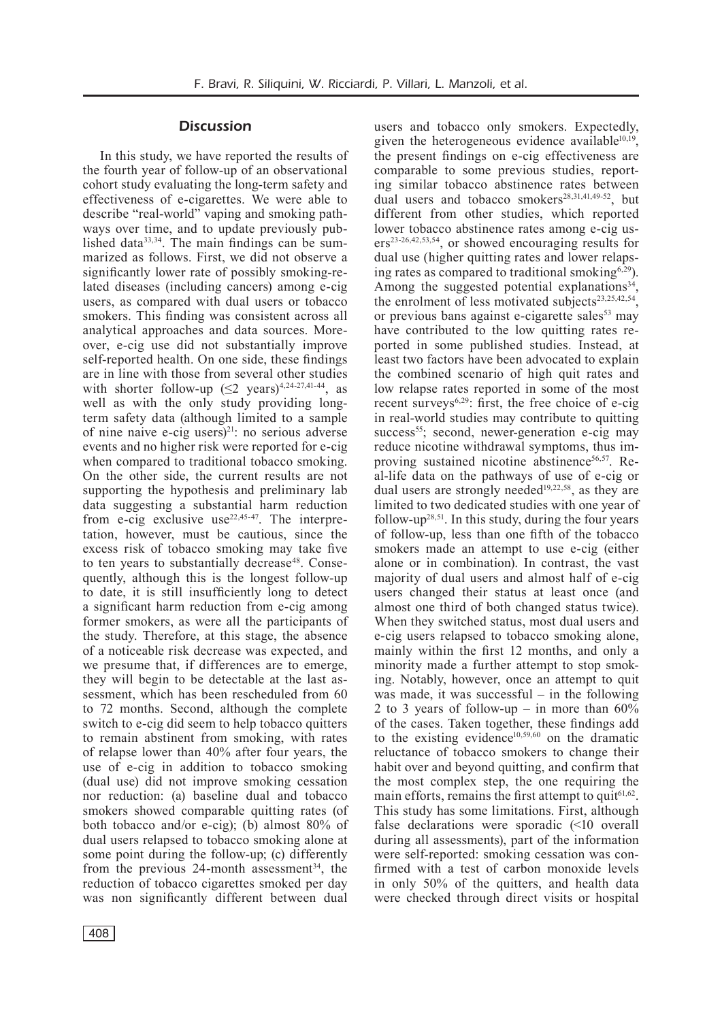## **Discussion**

In this study, we have reported the results of the fourth year of follow-up of an observational cohort study evaluating the long-term safety and effectiveness of e-cigarettes. We were able to describe "real-world" vaping and smoking pathways over time, and to update previously published data<sup>33,34</sup>. The main findings can be summarized as follows. First, we did not observe a significantly lower rate of possibly smoking-related diseases (including cancers) among e-cig users, as compared with dual users or tobacco smokers. This finding was consistent across all analytical approaches and data sources. Moreover, e-cig use did not substantially improve self-reported health. On one side, these findings are in line with those from several other studies with shorter follow-up  $(≤2 \text{ years})^{4,24-27,41-44}$ , as well as with the only study providing longterm safety data (although limited to a sample of nine naive e-cig users $)^{21}$ : no serious adverse events and no higher risk were reported for e-cig when compared to traditional tobacco smoking. On the other side, the current results are not supporting the hypothesis and preliminary lab data suggesting a substantial harm reduction from e-cig exclusive use<sup>22,45-47</sup>. The interpretation, however, must be cautious, since the excess risk of tobacco smoking may take five to ten years to substantially decrease<sup>48</sup>. Consequently, although this is the longest follow-up to date, it is still insufficiently long to detect a significant harm reduction from e-cig among former smokers, as were all the participants of the study. Therefore, at this stage, the absence of a noticeable risk decrease was expected, and we presume that, if differences are to emerge, they will begin to be detectable at the last assessment, which has been rescheduled from 60 to 72 months. Second, although the complete switch to e-cig did seem to help tobacco quitters to remain abstinent from smoking, with rates of relapse lower than 40% after four years, the use of e-cig in addition to tobacco smoking (dual use) did not improve smoking cessation nor reduction: (a) baseline dual and tobacco smokers showed comparable quitting rates (of both tobacco and/or e-cig); (b) almost 80% of dual users relapsed to tobacco smoking alone at some point during the follow-up; (c) differently from the previous  $24$ -month assessment<sup>34</sup>, the reduction of tobacco cigarettes smoked per day was non significantly different between dual

given the heterogeneous evidence available $10,19$ . the present findings on e-cig effectiveness are comparable to some previous studies, reporting similar tobacco abstinence rates between dual users and tobacco smokers<sup>28,31,41,49-52</sup>, but different from other studies, which reported lower tobacco abstinence rates among e-cig users23-26,42,53,54, or showed encouraging results for dual use (higher quitting rates and lower relapsing rates as compared to traditional smoking $6,29$ ). Among the suggested potential explanations<sup>34</sup>, the enrolment of less motivated subjects<sup>23,25,42,54</sup>, or previous bans against e-cigarette sales $53$  may have contributed to the low quitting rates reported in some published studies. Instead, at least two factors have been advocated to explain the combined scenario of high quit rates and low relapse rates reported in some of the most recent surveys<sup> $6,29$ </sup>: first, the free choice of e-cig in real-world studies may contribute to quitting success<sup>55</sup>; second, newer-generation e-cig may reduce nicotine withdrawal symptoms, thus improving sustained nicotine abstinence<sup>56,57</sup>. Real-life data on the pathways of use of e-cig or dual users are strongly needed<sup>19,22,58</sup>, as they are limited to two dedicated studies with one year of follow-up28,51. In this study, during the four years of follow-up, less than one fifth of the tobacco smokers made an attempt to use e-cig (either alone or in combination). In contrast, the vast majority of dual users and almost half of e-cig users changed their status at least once (and almost one third of both changed status twice). When they switched status, most dual users and e-cig users relapsed to tobacco smoking alone, mainly within the first 12 months, and only a minority made a further attempt to stop smoking. Notably, however, once an attempt to quit was made, it was successful – in the following 2 to 3 years of follow-up – in more than  $60\%$ of the cases. Taken together, these findings add to the existing evidence<sup>10,59,60</sup> on the dramatic reluctance of tobacco smokers to change their habit over and beyond quitting, and confirm that the most complex step, the one requiring the main efforts, remains the first attempt to quit $61,62$ . This study has some limitations. First, although false declarations were sporadic (<10 overall during all assessments), part of the information were self-reported: smoking cessation was confirmed with a test of carbon monoxide levels in only 50% of the quitters, and health data were checked through direct visits or hospital

users and tobacco only smokers. Expectedly,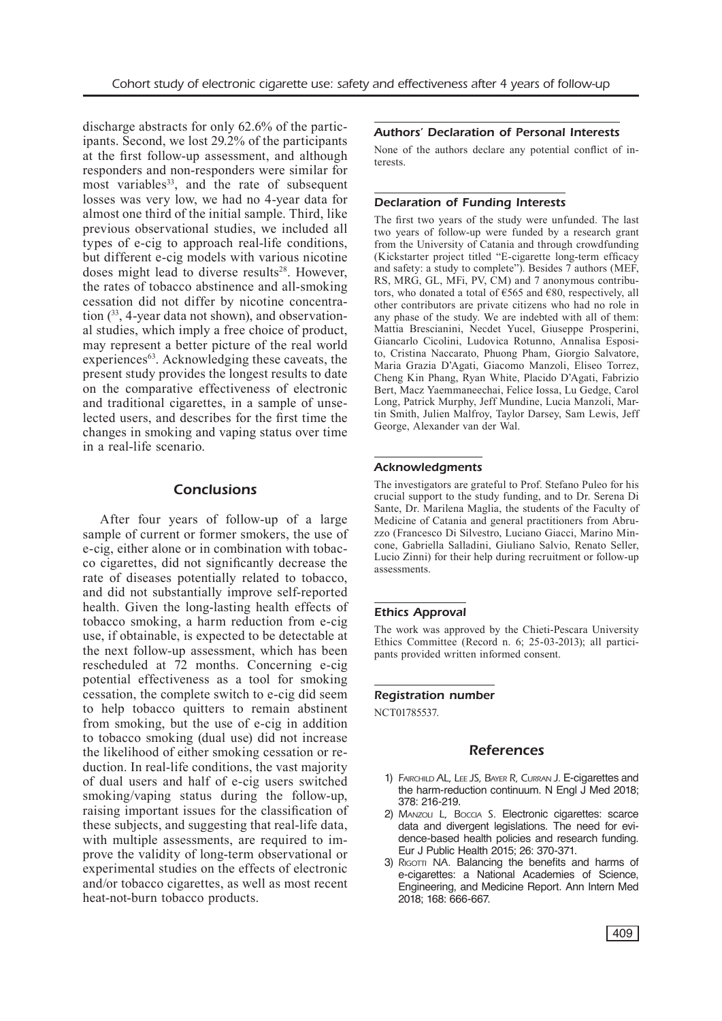discharge abstracts for only 62.6% of the participants. Second, we lost 29.2% of the participants at the first follow-up assessment, and although responders and non-responders were similar for most variables<sup>33</sup>, and the rate of subsequent losses was very low, we had no 4-year data for almost one third of the initial sample. Third, like previous observational studies, we included all types of e-cig to approach real-life conditions, but different e-cig models with various nicotine doses might lead to diverse results<sup>28</sup>. However, the rates of tobacco abstinence and all-smoking cessation did not differ by nicotine concentration (33, 4-year data not shown), and observational studies, which imply a free choice of product, may represent a better picture of the real world experiences<sup>63</sup>. Acknowledging these caveats, the present study provides the longest results to date on the comparative effectiveness of electronic and traditional cigarettes, in a sample of unselected users, and describes for the first time the changes in smoking and vaping status over time in a real-life scenario.

#### Conclusions

After four years of follow-up of a large sample of current or former smokers, the use of e-cig, either alone or in combination with tobacco cigarettes, did not significantly decrease the rate of diseases potentially related to tobacco, and did not substantially improve self-reported health. Given the long-lasting health effects of tobacco smoking, a harm reduction from e-cig use, if obtainable, is expected to be detectable at the next follow-up assessment, which has been rescheduled at 72 months. Concerning e-cig potential effectiveness as a tool for smoking cessation, the complete switch to e-cig did seem to help tobacco quitters to remain abstinent from smoking, but the use of e-cig in addition to tobacco smoking (dual use) did not increase the likelihood of either smoking cessation or reduction. In real-life conditions, the vast majority of dual users and half of e-cig users switched smoking/vaping status during the follow-up, raising important issues for the classification of these subjects, and suggesting that real-life data, with multiple assessments, are required to improve the validity of long-term observational or experimental studies on the effects of electronic and/or tobacco cigarettes, as well as most recent heat-not-burn tobacco products.

#### Authors' Declaration of Personal Interests

None of the authors declare any potential conflict of interests.

#### Declaration of Funding Interests

The first two years of the study were unfunded. The last two years of follow-up were funded by a research grant from the University of Catania and through crowdfunding (Kickstarter project titled "E-cigarette long-term efficacy and safety: a study to complete"). Besides 7 authors (MEF, RS, MRG, GL, MFi, PV, CM) and 7 anonymous contributors, who donated a total of  $\epsilon$ 565 and  $\epsilon$ 80, respectively, all other contributors are private citizens who had no role in any phase of the study. We are indebted with all of them: Mattia Brescianini, Necdet Yucel, Giuseppe Prosperini, Giancarlo Cicolini, Ludovica Rotunno, Annalisa Esposito, Cristina Naccarato, Phuong Pham, Giorgio Salvatore, Maria Grazia D'Agati, Giacomo Manzoli, Eliseo Torrez, Cheng Kin Phang, Ryan White, Placido D'Agati, Fabrizio Bert, Macz Yaemmaneechai, Felice Iossa, Lu Gedge, Carol Long, Patrick Murphy, Jeff Mundine, Lucia Manzoli, Martin Smith, Julien Malfroy, Taylor Darsey, Sam Lewis, Jeff George, Alexander van der Wal.

#### Acknowledgments

The investigators are grateful to Prof. Stefano Puleo for his crucial support to the study funding, and to Dr. Serena Di Sante, Dr. Marilena Maglia, the students of the Faculty of Medicine of Catania and general practitioners from Abruzzo (Francesco Di Silvestro, Luciano Giacci, Marino Mincone, Gabriella Salladini, Giuliano Salvio, Renato Seller, Lucio Zinni) for their help during recruitment or follow-up assessments.

#### Ethics Approval

The work was approved by the Chieti-Pescara University Ethics Committee (Record n. 6; 25-03-2013); all participants provided written informed consent.

#### Registration number

NCT01785537.

#### References

- 1) FAIRCHILD AL, LEE JS, BAYER R, CURRAN J. E-cigarettes and the harm-reduction continuum. N Engl J Med 2018; 378: 216-219.
- 2) Manzoli L, Boccia S. Electronic cigarettes: scarce data and divergent legislations. The need for evidence-based health policies and research funding. Eur J Public Health 2015; 26: 370-371.
- 3) RIGOTTI NA. Balancing the benefits and harms of e-cigarettes: a National Academies of Science, Engineering, and Medicine Report. Ann Intern Med 2018; 168: 666-667.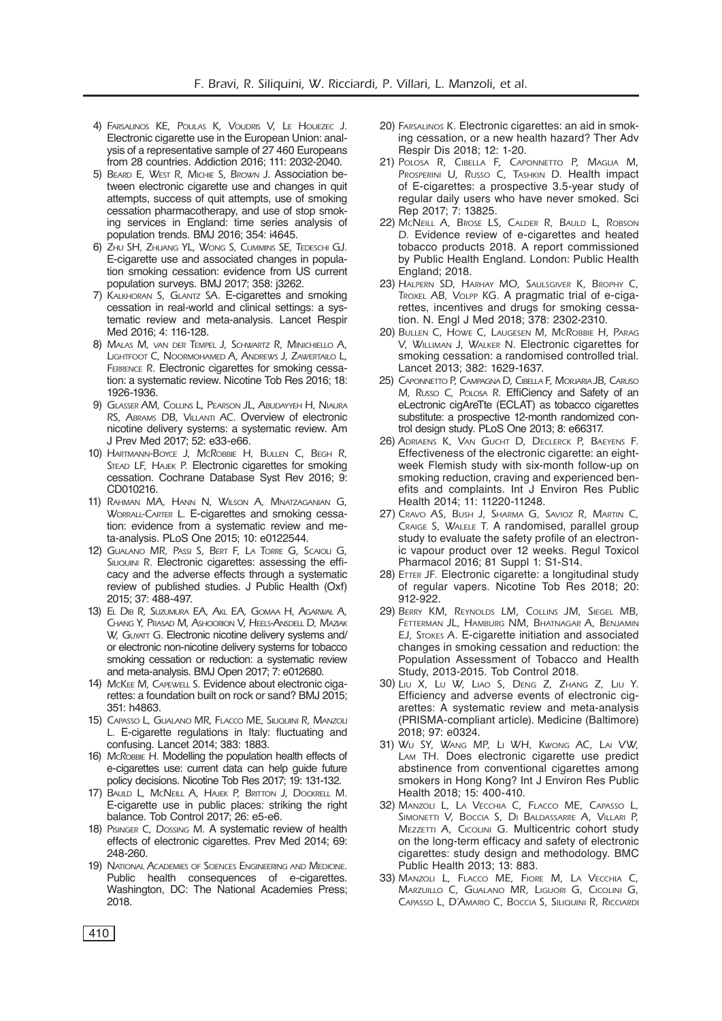- 4) Farsalinos KE, Poulas K, Voudris V, Le Houezec J. Electronic cigarette use in the European Union: analysis of a representative sample of 27 460 Europeans from 28 countries. Addiction 2016; 111: 2032-2040.
- 5) Beard E, West R, Michie S, Brown J. Association between electronic cigarette use and changes in quit attempts, success of quit attempts, use of smoking cessation pharmacotherapy, and use of stop smoking services in England: time series analysis of population trends. BMJ 2016; 354: i4645.
- 6) Zhu SH, Zhuang YL, Wong S, Cummins SE, Tedeschi GJ. E-cigarette use and associated changes in population smoking cessation: evidence from US current population surveys. BMJ 2017; 358: j3262.
- 7) Kalkhoran S, Glantz SA. E-cigarettes and smoking cessation in real-world and clinical settings: a systematic review and meta-analysis. Lancet Respir Med 2016; 4: 116-128.
- 8) Malas M, van der Tempel J, Schwartz R, Minichiello A, Lightfoot C, Noormohamed A, Andrews J, Zawertailo L, Ferrence R. Electronic cigarettes for smoking cessation: a systematic review. Nicotine Tob Res 2016; 18: 1926-1936.
- 9) Glasser AM, Collins L, Pearson JL, Abudayyeh H, Niaura RS, ABRAMS DB, VILLANTI AC. Overview of electronic nicotine delivery systems: a systematic review. Am J Prev Med 2017; 52: e33-e66.
- 10) Hartmann-Boyce J, McRobbie H, Bullen C, Begh R, STEAD LF, HAJEK P. Electronic cigarettes for smoking cessation. Cochrane Database Syst Rev 2016; 9: CD010216.
- 11) Rahman MA, Hann N, Wilson A, Mnatzaganian G, WORRALL-CARTER L. E-cigarettes and smoking cessation: evidence from a systematic review and meta-analysis. PLoS One 2015; 10: e0122544.
- 12) Gualano MR, Passi S, Bert F, La Torre G, Scaioli G, SILIQUINI R. Electronic cigarettes: assessing the efficacy and the adverse effects through a systematic review of published studies. J Public Health (Oxf) 2015; 37: 488-497.
- 13) El Dib R, Suzumura EA, Akl EA, Gomaa H, Agarwal A, Chang Y, Prasad M, Ashoorion V, Heels-Ansdell D, Maziak W, GUYATT G. Electronic nicotine delivery systems and/ or electronic non-nicotine delivery systems for tobacco smoking cessation or reduction: a systematic review and meta-analysis. BMJ Open 2017; 7: e012680.
- 14) McKEE M, CAPEWELL S. Evidence about electronic cigarettes: a foundation built on rock or sand? BMJ 2015; 351: h4863.
- 15) Capasso L, Gualano MR, Flacco ME, Siliquini R, Manzoli L. E-cigarette regulations in Italy: fluctuating and confusing. Lancet 2014; 383: 1883.
- 16) McRoBBIE H. Modelling the population health effects of e-cigarettes use: current data can help guide future policy decisions. Nicotine Tob Res 2017; 19: 131-132.
- 17) Bauld L, McNeill A, Hajek P, Britton J, Dockrell M. E-cigarette use in public places: striking the right balance. Tob Control 2017; 26: e5-e6.
- 18) PISINGER C, DOSSING M. A systematic review of health effects of electronic cigarettes. Prev Med 2014; 69: 248-260.
- 19) National Academies of Sciences Engineering and Medicine. Public health consequences of e-cigarettes. Washington, DC: The National Academies Press; 2018.
- 20) FARSALINOS K. Electronic cigarettes: an aid in smoking cessation, or a new health hazard? Ther Adv Respir Dis 2018; 12: 1-20.
- 21) Polosa R, Cibella F, Caponnetto P, Maglia M, PROSPERINI U, RUSSO C, TASHKIN D. Health impact of E-cigarettes: a prospective 3.5-year study of regular daily users who have never smoked. Sci Rep 2017; 7: 13825.
- 22) McNeill A, Brose LS, CALDER R, BAULD L, ROBSON D. Evidence review of e-cigarettes and heated tobacco products 2018. A report commissioned by Public Health England. London: Public Health England; 2018.
- 23) Halpern SD, Harhay MO, Saulsgiver K, Brophy C, Troxel AB, Volpp KG. A pragmatic trial of e-cigarettes, incentives and drugs for smoking cessation. N. Engl J Med 2018; 378: 2302-2310.
- 20) Bullen C, Howe C, Laugesen M, McRobbie H, Parag V, Williman J, Walker N. Electronic cigarettes for smoking cessation: a randomised controlled trial. Lancet 2013; 382: 1629-1637.
- 25) Caponnetto P, Campagna D, Cibella F, Morjaria JB, Caruso M, Russo C, Polosa R. EffiCiency and Safety of an eLectronic cigAreTte (ECLAT) as tobacco cigarettes substitute: a prospective 12-month randomized control design study. PLoS One 2013; 8: e66317.
- 26) Adriaens K, Van Gucht D, Declerck P, Baeyens F. Effectiveness of the electronic cigarette: an eightweek Flemish study with six-month follow-up on smoking reduction, craving and experienced benefits and complaints. Int J Environ Res Public Health 2014; 11: 11220-11248.
- 27) Cravo AS, Bush J, Sharma G, Savioz R, Martin C, Craige S, Walele T. A randomised, parallel group study to evaluate the safety profile of an electronic vapour product over 12 weeks. Regul Toxicol Pharmacol 2016; 81 Suppl 1: S1-S14.
- 28) ETTER JF. Electronic cigarette: a longitudinal study of regular vapers. Nicotine Tob Res 2018; 20: 912-922.
- 29) Berry KM, Reynolds LM, Collins JM, Siegel MB, Fetterman JL, Hamburg NM, Bhatnagar A, Benjamin EJ, Stokes A. E-cigarette initiation and associated changes in smoking cessation and reduction: the Population Assessment of Tobacco and Health Study, 2013-2015. Tob Control 2018.
- 30) Liu X, Lu W, Liao S, Deng Z, Zhang Z, Liu Y. Efficiency and adverse events of electronic cigarettes: A systematic review and meta-analysis (PRISMA-compliant article). Medicine (Baltimore) 2018; 97: e0324.
- 31) Wu SY, Wang MP, Li WH, Kwong AC, Lai VW, Lam TH. Does electronic cigarette use predict abstinence from conventional cigarettes among smokers in Hong Kong? Int J Environ Res Public Health 2018; 15: 400-410.
- 32) Manzoli L, La Vecchia C, Flacco ME, Capasso L, Simonetti V, Boccia S, Di Baldassarre A, Villari P, MEZZETTI A, CICOLINI G. Multicentric cohort study on the long-term efficacy and safety of electronic cigarettes: study design and methodology. BMC Public Health 2013; 13: 883.
- 33) Manzoli L, Flacco ME, Fiore M, La Vecchia C, Marzuillo C, Gualano MR, Liguori G, Cicolini G, Capasso L, D'Amario C, Boccia S, Siliquini R, Ricciardi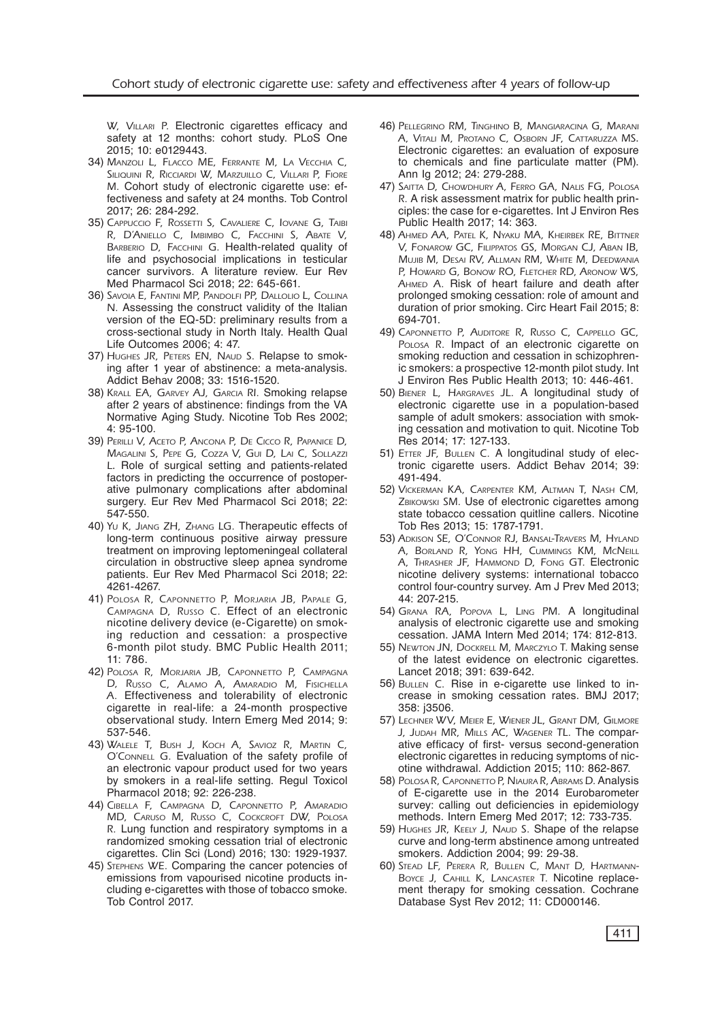W, VILLARI P. Electronic cigarettes efficacy and safety at 12 months: cohort study. PLoS One 2015; 10: e0129443.

- 34) Manzoli L, Flacco ME, Ferrante M, La Vecchia C, SILIQUINI R, RICCIARDI W, MARZUILLO C, VILLARI P, FIORE M. Cohort study of electronic cigarette use: effectiveness and safety at 24 months. Tob Control 2017; 26: 284-292.
- 35) Cappuccio F, Rossetti S, Cavaliere C, Iovane G, Taibi R, D'Aniello C, Imbimbo C, Facchini S, Abate V, BARBERIO D, FACCHINI G. Health-related quality of life and psychosocial implications in testicular cancer survivors. A literature review. Eur Rev Med Pharmacol Sci 2018; 22: 645-661.
- 36) Savoia E, Fantini MP, Pandolfi PP, Dallolio L, Collina N. Assessing the construct validity of the Italian version of the EQ-5D: preliminary results from a cross-sectional study in North Italy. Health Qual Life Outcomes 2006; 4: 47.
- 37) HUGHES JR, PETERS EN, NAUD S. Relapse to smoking after 1 year of abstinence: a meta-analysis. Addict Behav 2008; 33: 1516-1520.
- 38) Krall EA, Garvey AJ, Garcia RI. Smoking relapse after 2 years of abstinence: findings from the VA Normative Aging Study. Nicotine Tob Res 2002; 4: 95-100.
- 39) Perilli V, Aceto P, Ancona P, De Cicco R, Papanice D, Magalini S, Pepe G, Cozza V, Gui D, Lai C, Sollazzi L. Role of surgical setting and patients-related factors in predicting the occurrence of postoperative pulmonary complications after abdominal surgery. Eur Rev Med Pharmacol Sci 2018; 22: 547-550.
- 40) Yu K, Jiang ZH, Zhang LG. Therapeutic effects of long-term continuous positive airway pressure treatment on improving leptomeningeal collateral circulation in obstructive sleep apnea syndrome patients. Eur Rev Med Pharmacol Sci 2018; 22: 4261-4267.
- 41) Polosa R, Caponnetto P, Morjaria JB, Papale G, Campagna D, Russo C. Effect of an electronic nicotine delivery device (e-Cigarette) on smoking reduction and cessation: a prospective 6-month pilot study. BMC Public Health 2011; 11: 786.
- 42) Polosa R, Morjaria JB, Caponnetto P, Campagna D, Russo C, Alamo A, Amaradio M, Fisichella A. Effectiveness and tolerability of electronic cigarette in real-life: a 24-month prospective observational study. Intern Emerg Med 2014; 9: 537-546.
- 43) Walele T, Bush J, Koch A, Savioz R, Martin C, O'Connell G. Evaluation of the safety profile of an electronic vapour product used for two years by smokers in a real-life setting. Regul Toxicol Pharmacol 2018; 92: 226-238.
- 44) Cibella F, Campagna D, Caponnetto P, Amaradio MD, Caruso M, Russo C, Cockcroft DW, Polosa R. Lung function and respiratory symptoms in a randomized smoking cessation trial of electronic cigarettes. Clin Sci (Lond) 2016; 130: 1929-1937.
- 45) Stephens WE. Comparing the cancer potencies of emissions from vapourised nicotine products including e-cigarettes with those of tobacco smoke. Tob Control 2017.
- 46) Pellegrino RM, Tinghino B, Mangiaracina G, Marani A, Vitali M, Protano C, Osborn JF, Cattaruzza MS. Electronic cigarettes: an evaluation of exposure to chemicals and fine particulate matter (PM). Ann Ig 2012; 24: 279-288.
- 47) SAITTA D, CHOWDHURY A, FERRO GA, NALIS FG, POLOSA R. A risk assessment matrix for public health principles: the case for e-cigarettes. Int J Environ Res Public Health 2017; 14: 363.
- 48) Ahmed AA, Patel K, Nyaku MA, Kheirbek RE, Bittner V, Fonarow GC, Filippatos GS, Morgan CJ, Aban IB, Mujib M, Desai RV, Allman RM, White M, Deedwania P, Howard G, Bonow RO, FLETCHER RD, ARONOW WS, AHMED A. Risk of heart failure and death after prolonged smoking cessation: role of amount and duration of prior smoking. Circ Heart Fail 2015; 8: 694-701.
- 49) Caponnetto P, Auditore R, Russo C, Cappello GC, POLOSA R. Impact of an electronic cigarette on smoking reduction and cessation in schizophrenic smokers: a prospective 12-month pilot study. Int J Environ Res Public Health 2013; 10: 446-461.
- 50) Biener L, Hargraves JL. A longitudinal study of electronic cigarette use in a population-based sample of adult smokers: association with smoking cessation and motivation to quit. Nicotine Tob Res 2014; 17: 127-133.
- 51) ETTER JF, BULLEN C. A longitudinal study of electronic cigarette users. Addict Behav 2014; 39: 491-494.
- 52) Vickerman KA, Carpenter KM, Altman T, Nash CM, ZBIKOWSKI SM. Use of electronic cigarettes among state tobacco cessation quitline callers. Nicotine Tob Res 2013; 15: 1787-1791.
- 53) Adkison SE, O'Connor RJ, Bansal-Travers M, Hyland A, Borland R, Yong HH, Cummings KM, McNeill A, Thrasher JF, Hammond D, Fong GT. Electronic nicotine delivery systems: international tobacco control four-country survey. Am J Prev Med 2013; 44: 207-215.
- 54) Grana RA, Popova L, Ling PM. A longitudinal analysis of electronic cigarette use and smoking cessation. JAMA Intern Med 2014; 174: 812-813.
- 55) Newton JN, Dockrell M, Marczylo T. Making sense of the latest evidence on electronic cigarettes. Lancet 2018; 391: 639-642.
- 56) BULLEN C. Rise in e-cigarette use linked to increase in smoking cessation rates. BMJ 2017; 358: j3506.
- 57) Lechner WV, Meier E, Wiener JL, Grant DM, Gilmore J, JUDAH MR, MILLS AC, WAGENER TL. The comparative efficacy of first- versus second-generation electronic cigarettes in reducing symptoms of nicotine withdrawal. Addiction 2015; 110: 862-867.
- 58) Polosa R, Caponnetto P, Niaura R, Abrams D. Analysis of E-cigarette use in the 2014 Eurobarometer survey: calling out deficiencies in epidemiology methods. Intern Emerg Med 2017; 12: 733-735.
- 59) HUGHES JR, KEELY J, NAUD S. Shape of the relapse curve and long-term abstinence among untreated smokers. Addiction 2004; 99: 29-38.
- 60) Stead LF, Perera R, Bullen C, Mant D, Hartmann-BOYCE J, CAHILL K, LANCASTER T. Nicotine replacement therapy for smoking cessation. Cochrane Database Syst Rev 2012; 11: CD000146.